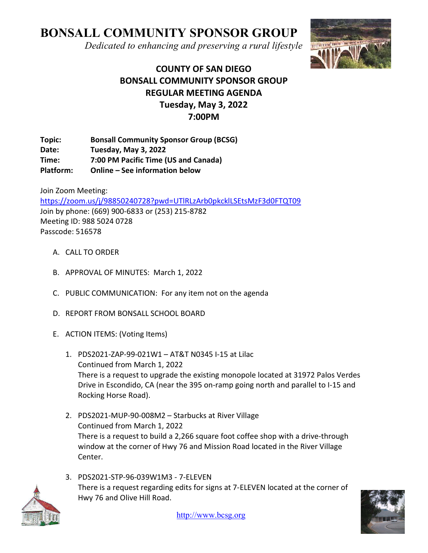# BONSALL COMMUNITY SPONSOR GROUP

Dedicated to enhancing and preserving a rural lifestyle



# COUNTY OF SAN DIEGO BONSALL COMMUNITY SPONSOR GROUP REGULAR MEETING AGENDA Tuesday, May 3, 2022 7:00PM

Topic: Bonsall Community Sponsor Group (BCSG) Date: Tuesday, May 3, 2022 Time: 7:00 PM Pacific Time (US and Canada) Platform: Online – See information below

Join Zoom Meeting: https://zoom.us/j/98850240728?pwd=UTlRLzArb0pkcklLSEtsMzF3d0FTQT09 Join by phone: (669) 900-6833 or (253) 215-8782 Meeting ID: 988 5024 0728 Passcode: 516578

- A. CALL TO ORDER
- B. APPROVAL OF MINUTES: March 1, 2022
- C. PUBLIC COMMUNICATION: For any item not on the agenda
- D. REPORT FROM BONSALL SCHOOL BOARD
- E. ACTION ITEMS: (Voting Items)
	- 1. PDS2021-ZAP-99-021W1 AT&T N0345 I-15 at Lilac Continued from March 1, 2022 There is a request to upgrade the existing monopole located at 31972 Palos Verdes Drive in Escondido, CA (near the 395 on-ramp going north and parallel to I-15 and Rocking Horse Road).
	- 2. PDS2021-MUP-90-008M2 Starbucks at River Village Continued from March 1, 2022 There is a request to build a 2,266 square foot coffee shop with a drive-through window at the corner of Hwy 76 and Mission Road located in the River Village Center.
	- 3. PDS2021-STP-96-039W1M3 7-ELEVEN There is a request regarding edits for signs at 7-ELEVEN located at the corner of Hwy 76 and Olive Hill Road.